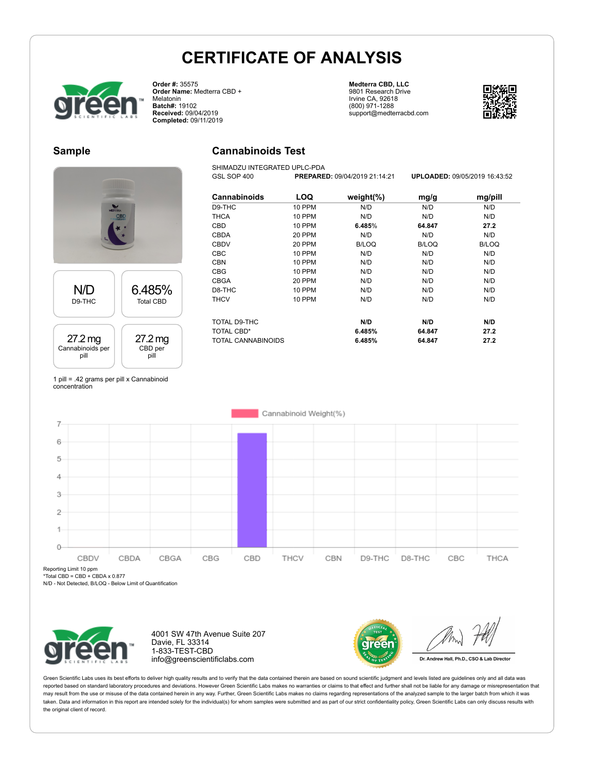**Cannabinoids Test** SHIMADZU INTEGRATED UPLC-PDA



**Order #:** 35575 **Order Name:** Medterra CBD + **Melatonin Batch#:** 19102 **Received:** 09/04/2019 **Completed:** 09/11/2019

#### **Medterra CBD, LLC** 9801 Research Drive Irvine CA, 92618 (800) 971-1288 support@medterracbd.com



### **Sample**



#### 27.2 mg Cannabinoids per pill 27.2 mg CBD per pill

| Cannabinoids              | LOQ           | weight $(\%)$ | mg/g         | mg/pill      |
|---------------------------|---------------|---------------|--------------|--------------|
| D9-THC                    | <b>10 PPM</b> | N/D           | N/D          | N/D          |
| <b>THCA</b>               | <b>10 PPM</b> | N/D           | N/D          | N/D          |
| CBD                       | <b>10 PPM</b> | 6.485%        | 64.847       | 27.2         |
| <b>CBDA</b>               | 20 PPM        | N/D           | N/D          | N/D          |
| <b>CBDV</b>               | 20 PPM        | <b>B/LOQ</b>  | <b>B/LOQ</b> | <b>B/LOQ</b> |
| CBC                       | 10 PPM        | N/D           | N/D          | N/D          |
| <b>CBN</b>                | 10 PPM        | N/D           | N/D          | N/D          |
| <b>CBG</b>                | <b>10 PPM</b> | N/D           | N/D          | N/D          |
| <b>CBGA</b>               | 20 PPM        | N/D           | N/D          | N/D          |
| D8-THC                    | 10 PPM        | N/D           | N/D          | N/D          |
| <b>THCV</b>               | 10 PPM        | N/D           | N/D          | N/D          |
| TOTAL D9-THC              |               | N/D           | N/D          | N/D          |
| <b>TOTAL CBD*</b>         |               | 6.485%        | 64.847       | 27.2         |
| <b>TOTAL CANNABINOIDS</b> |               | 6.485%        | 64.847       | 27.2         |

GSL SOP 400 **PREPARED:** 09/04/2019 21:14:21 **UPLOADED:** 09/05/2019 16:43:52

1 pill = .42 grams per pill x Cannabinoid concentration



Reporting Limit 10 ppm

\*Total CBD = CBD + CBDA x 0.877

N/D - Not Detected, B/LOQ - Below Limit of Quantification



4001 SW 47th Avenue Suite 207 Davie, FL 33314 1-833-TEST-CBD info@greenscientificlabs.com



Dr. Andrew Hall, Ph.D., CSO & Lab Director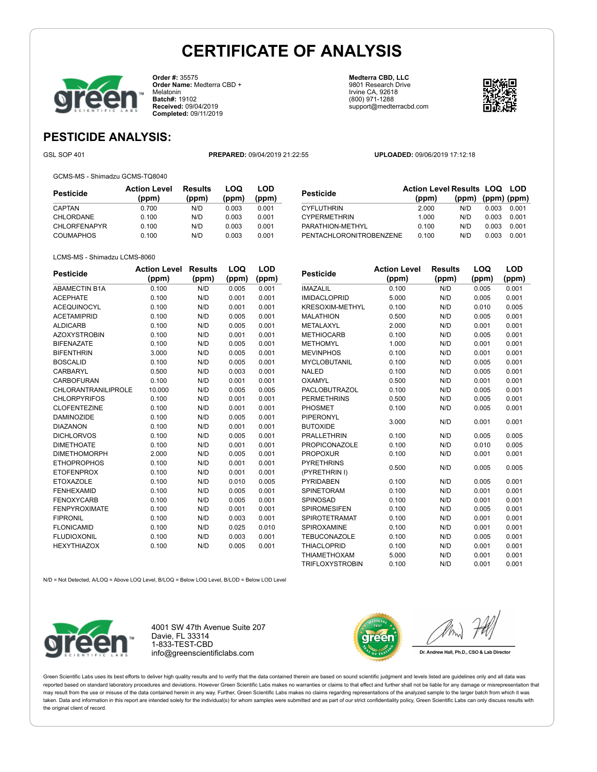

**Order #:** 35575 **Order Name:** Medterra CBD + Melatonin **Batch#:** 19102 **Received:** 09/04/2019 **Completed:** 09/11/2019

**Medterra CBD, LLC** 9801 Research Drive Irvine CA, 92618 (800) 971-1288 support@medterracbd.com



### **PESTICIDE ANALYSIS:**

GSL SOP 401 **PREPARED:** 09/04/2019 21:22:55 **UPLOADED:** 09/06/2019 17:12:18

GCMS-MS - Shimadzu GCMS-TQ8040

| Pesticide           | <b>Action Level</b><br>(ppm) | <b>Results</b><br>(ppm) | LOQ<br>(ppm) | LOD<br>(ppm) |
|---------------------|------------------------------|-------------------------|--------------|--------------|
| CAPTAN              | 0.700                        | N/D                     | 0.003        | 0.001        |
| CHLORDANE           | 0.100                        | N/D                     | 0.003        | 0.001        |
| <b>CHLORFENAPYR</b> | 0.100                        | N/D                     | 0.003        | 0.001        |
| <b>COUMAPHOS</b>    | 0.100                        | N/D                     | 0.003        | 0.001        |
|                     |                              |                         |              |              |

| <b>Pesticide</b>        | <b>Action Level Results LOQ LOD</b> |                         |       |       |
|-------------------------|-------------------------------------|-------------------------|-------|-------|
|                         | (ppm)                               | $(ppm)$ $(ppm)$ $(ppm)$ |       |       |
| <b>CYFLUTHRIN</b>       | 2.000                               | N/D                     | 0.003 | 0.001 |
| <b>CYPERMETHRIN</b>     | 1.000                               | N/D                     | 0.003 | 0.001 |
| PARATHION-METHYL        | 0.100                               | N/D                     | 0.003 | 0.001 |
| PENTACHLORONITROBENZENE | 0.100                               | N/D                     | 0.003 | 0.001 |

#### LCMS-MS - Shimadzu LCMS-8060

| <b>Pesticide</b>           | <b>Action Level</b> | <b>Results</b> | LOQ   | LOD   |
|----------------------------|---------------------|----------------|-------|-------|
|                            | (ppm)               | (ppm)          | (ppm) | (ppm) |
| <b>ABAMECTIN B1A</b>       | 0.100               | N/D            | 0.005 | 0.001 |
| <b>ACEPHATE</b>            | 0.100               | N/D            | 0.001 | 0.001 |
| <b>ACEQUINOCYL</b>         | 0.100               | N/D            | 0.001 | 0.001 |
| <b>ACETAMIPRID</b>         | 0.100               | N/D            | 0.005 | 0.001 |
| <b>ALDICARB</b>            | 0.100               | N/D            | 0.005 | 0.001 |
| <b>AZOXYSTROBIN</b>        | 0.100               | N/D            | 0.001 | 0.001 |
| <b>BIFENAZATE</b>          | 0.100               | N/D            | 0.005 | 0.001 |
| <b>BIFENTHRIN</b>          | 3.000               | N/D            | 0.005 | 0.001 |
| <b>BOSCALID</b>            | 0.100               | N/D            | 0.005 | 0.001 |
| CARBARYL                   | 0.500               | N/D            | 0.003 | 0.001 |
| <b>CARBOFURAN</b>          | 0.100               | N/D            | 0.001 | 0.001 |
| <b>CHLORANTRANILIPROLE</b> | 10.000              | N/D            | 0.005 | 0.005 |
| <b>CHLORPYRIFOS</b>        | 0.100               | N/D            | 0.001 | 0.001 |
| <b>CLOFENTEZINE</b>        | 0.100               | N/D            | 0.001 | 0.001 |
| <b>DAMINOZIDE</b>          | 0.100               | N/D            | 0.005 | 0.001 |
| <b>DIAZANON</b>            | 0.100               | N/D            | 0.001 | 0.001 |
| <b>DICHLORVOS</b>          | 0.100               | N/D            | 0.005 | 0.001 |
| <b>DIMETHOATE</b>          | 0.100               | N/D            | 0.001 | 0.001 |
| <b>DIMETHOMORPH</b>        | 2.000               | N/D            | 0.005 | 0.001 |
| <b>ETHOPROPHOS</b>         | 0.100               | N/D            | 0.001 | 0.001 |
| <b>ETOFENPROX</b>          | 0.100               | N/D            | 0.001 | 0.001 |
| <b>ETOXAZOLE</b>           | 0.100               | N/D            | 0.010 | 0.005 |
| <b>FENHEXAMID</b>          | 0.100               | N/D            | 0.005 | 0.001 |
| <b>FENOXYCARB</b>          | 0.100               | N/D            | 0.005 | 0.001 |
| <b>FENPYROXIMATE</b>       | 0.100               | N/D            | 0.001 | 0.001 |
| <b>FIPRONIL</b>            | 0.100               | N/D            | 0.003 | 0.001 |
| <b>FLONICAMID</b>          | 0.100               | N/D            | 0.025 | 0.010 |
| <b>FLUDIOXONIL</b>         | 0.100               | N/D            | 0.003 | 0.001 |
| <b>HEXYTHIAZOX</b>         | 0.100               | N/D            | 0.005 | 0.001 |

| Pesticide              | <b>Action Level</b> | <b>Results</b> | LOQ   | LOD   |
|------------------------|---------------------|----------------|-------|-------|
|                        | (ppm)               | (ppm)          | (ppm) | (ppm) |
| <b>IMAZALIL</b>        | 0.100               | N/D            | 0.005 | 0.001 |
| <b>IMIDACLOPRID</b>    | 5.000               | N/D            | 0.005 | 0.001 |
| <b>KRESOXIM-METHYL</b> | 0.100               | N/D            | 0.010 | 0.005 |
| <b>MALATHION</b>       | 0.500               | N/D            | 0.005 | 0.001 |
| METALAXYL              | 2.000               | N/D            | 0.001 | 0.001 |
| <b>METHIOCARB</b>      | 0.100               | N/D            | 0.005 | 0.001 |
| <b>METHOMYL</b>        | 1.000               | N/D            | 0.001 | 0.001 |
| <b>MEVINPHOS</b>       | 0.100               | N/D            | 0.001 | 0.001 |
| <b>MYCLOBUTANIL</b>    | 0.100               | N/D            | 0.005 | 0.001 |
| <b>NALED</b>           | 0.100               | N/D            | 0.005 | 0.001 |
| <b>OXAMYL</b>          | 0.500               | N/D            | 0.001 | 0.001 |
| <b>PACLOBUTRAZOL</b>   | 0.100               | N/D            | 0.005 | 0.001 |
| <b>PERMETHRINS</b>     | 0.500               | N/D            | 0.005 | 0.001 |
| PHOSMET                | 0.100               | N/D            | 0.005 | 0.001 |
| PIPERONYL              | 3.000               | N/D            | 0.001 | 0.001 |
| <b>BUTOXIDE</b>        |                     |                |       |       |
| <b>PRALLETHRIN</b>     | 0.100               | N/D            | 0.005 | 0.005 |
| <b>PROPICONAZOLE</b>   | 0.100               | N/D            | 0.010 | 0.005 |
| <b>PROPOXUR</b>        | 0.100               | N/D            | 0.001 | 0.001 |
| <b>PYRETHRINS</b>      | 0.500               | N/D            | 0.005 | 0.005 |
| (PYRETHRIN I)          |                     |                |       |       |
| PYRIDABEN              | 0.100               | N/D            | 0.005 | 0.001 |
| <b>SPINETORAM</b>      | 0.100               | N/D            | 0.001 | 0.001 |
| SPINOSAD               | 0.100               | N/D            | 0.001 | 0.001 |
| <b>SPIROMESIFEN</b>    | 0.100               | N/D            | 0.005 | 0.001 |
| SPIROTETRAMAT          | 0.100               | N/D            | 0.001 | 0.001 |
| SPIROXAMINE            | 0.100               | N/D            | 0.001 | 0.001 |
| <b>TEBUCONAZOLE</b>    | 0.100               | N/D            | 0.005 | 0.001 |
| <b>THIACLOPRID</b>     | 0.100               | N/D            | 0.001 | 0.001 |
| <b>THIAMETHOXAM</b>    | 5.000               | N/D            | 0.001 | 0.001 |
| <b>TRIFLOXYSTROBIN</b> | 0.100               | N/D            | 0.001 | 0.001 |

N/D = Not Detected, A/LOQ = Above LOQ Level, B/LOQ = Below LOQ Level, B/LOD = Below LOD Level



4001 SW 47th Avenue Suite 207 Davie, FL 33314 1-833-TEST-CBD info@greenscientificlabs.com



Dr. Andrew Hall, Ph.D., CSO & Lab Director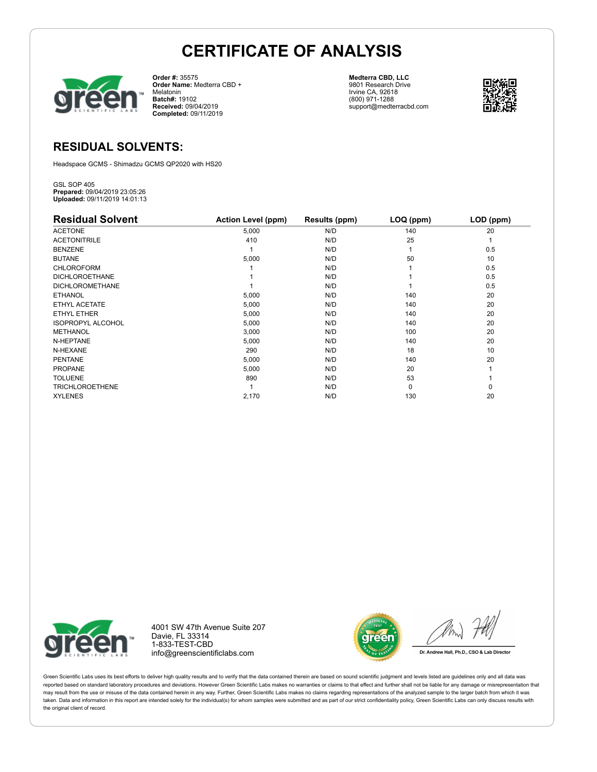

**Order #:** 35575 **Order Name:** Medterra CBD + Melatonin **Batch#:** 19102 **Received:** 09/04/2019 **Completed:** 09/11/2019

**Medterra CBD, LLC** 9801 Research Drive Irvine CA, 92618 (800) 971-1288 support@medterracbd.com



### **RESIDUAL SOLVENTS:**

Headspace GCMS - Shimadzu GCMS QP2020 with HS20

GSL SOP 405 **Prepared:** 09/04/2019 23:05:26 **Uploaded:** 09/11/2019 14:01:13

| <b>Residual Solvent</b>  | <b>Action Level (ppm)</b> | Results (ppm) | LOQ (ppm) | LOD (ppm) |
|--------------------------|---------------------------|---------------|-----------|-----------|
| <b>ACETONE</b>           | 5,000                     | N/D           | 140       | 20        |
| <b>ACETONITRILE</b>      | 410                       | N/D           | 25        |           |
| <b>BENZENE</b>           |                           | N/D           |           | 0.5       |
| <b>BUTANE</b>            | 5,000                     | N/D           | 50        | 10        |
| <b>CHLOROFORM</b>        |                           | N/D           |           | 0.5       |
| <b>DICHLOROETHANE</b>    |                           | N/D           |           | 0.5       |
| <b>DICHLOROMETHANE</b>   |                           | N/D           |           | 0.5       |
| <b>ETHANOL</b>           | 5,000                     | N/D           | 140       | 20        |
| ETHYL ACETATE            | 5,000                     | N/D           | 140       | 20        |
| ETHYL ETHER              | 5,000                     | N/D           | 140       | 20        |
| <b>ISOPROPYL ALCOHOL</b> | 5,000                     | N/D           | 140       | 20        |
| <b>METHANOL</b>          | 3,000                     | N/D           | 100       | 20        |
| N-HEPTANE                | 5,000                     | N/D           | 140       | 20        |
| N-HEXANE                 | 290                       | N/D           | 18        | 10        |
| <b>PENTANE</b>           | 5,000                     | N/D           | 140       | 20        |
| <b>PROPANE</b>           | 5,000                     | N/D           | 20        |           |
| <b>TOLUENE</b>           | 890                       | N/D           | 53        |           |
| <b>TRICHLOROETHENE</b>   |                           | N/D           | 0         | 0         |
| <b>XYLENES</b>           | 2,170                     | N/D           | 130       | 20        |



4001 SW 47th Avenue Suite 207 Davie, FL 33314 1-833-TEST-CBD info@greenscientificlabs.com



Dr. Andrew Hall, Ph.D., CSO & Lab Director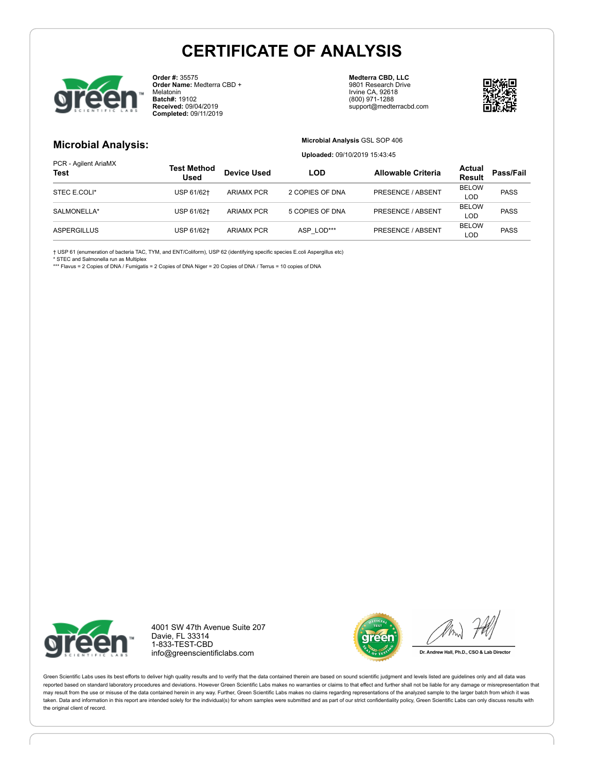

**Order #:** 35575 **Order Name:** Medterra CBD + Melatonin **Batch#:** 19102 **Received:** 09/04/2019 **Completed:** 09/11/2019

**Medterra CBD, LLC** 9801 Research Drive Irvine CA, 92618 (800) 971-1288 support@medterracbd.com



### **Microbial Analysis:**

**Microbial Analysis** GSL SOP 406 **Uploaded:** 09/10/2019 15:43:45

| PCR - Agilent AriaMX<br><b>Test</b> | Test Method<br><b>Used</b> | <b>Device Used</b> | <b>LOD</b>      | <b>Allowable Criteria</b> | Actual<br><b>Result</b> | Pass/Fail   |
|-------------------------------------|----------------------------|--------------------|-----------------|---------------------------|-------------------------|-------------|
| STEC E.COLI*                        | USP 61/62+                 | ARIAMX PCR         | 2 COPIES OF DNA | PRESENCE / ABSENT         | <b>BELOW</b>            | <b>PASS</b> |
|                                     |                            |                    |                 |                           | LOD                     |             |
| SALMONELLA*                         | USP 61/62+                 | <b>ARIAMX PCR</b>  | 5 COPIES OF DNA | PRESENCE / ABSENT         | <b>BELOW</b>            | <b>PASS</b> |
|                                     |                            |                    |                 |                           | <b>LOD</b>              |             |
|                                     |                            | <b>ARIAMX PCR</b>  | ASP LOD***      |                           | <b>BELOW</b>            | <b>PASS</b> |
| <b>ASPERGILLUS</b>                  | USP 61/62+                 |                    |                 | PRESENCE / ABSENT         | LOD                     |             |

† USP 61 (enumeration of bacteria TAC, TYM, and ENT/Coliform), USP 62 (identifying specific species E.coli Aspergillus etc)

\* STEC and Salmonella run as Multiplex

\*\*\* Flavus = 2 Copies of DNA / Fumigatis = 2 Copies of DNA Niger = 20 Copies of DNA / Terrus = 10 copies of DNA



4001 SW 47th Avenue Suite 207 Davie, FL 33314 1-833-TEST-CBD info@greenscientificlabs.com



Dr. Andrew Hall, Ph.D., CSO & Lab Director